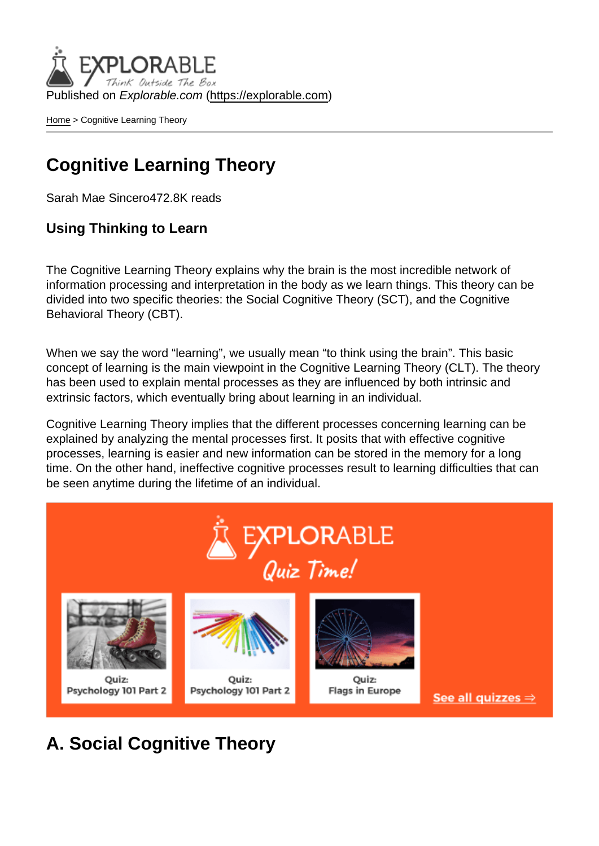Published on Explorable.com (<https://explorable.com>)

[Home](https://explorable.com/) > Cognitive Learning Theory

## Cognitive Learning Theory

Sarah Mae Sincero472.8K reads

Using Thinking to Learn

The Cognitive Learning Theory explains why the brain is the most incredible network of information processing and interpretation in the body as we learn things. This theory can be divided into two specific theories: the Social Cognitive Theory (SCT), and the Cognitive Behavioral Theory (CBT).

When we say the word "learning", we usually mean "to think using the brain". This basic concept of learning is the main viewpoint in the Cognitive Learning Theory (CLT). The theory has been used to explain mental processes as they are influenced by both intrinsic and extrinsic factors, which eventually bring about learning in an individual.

Cognitive Learning Theory implies that the different processes concerning learning can be explained by analyzing the mental processes first. It posits that with effective cognitive processes, learning is easier and new information can be stored in the memory for a long time. On the other hand, ineffective cognitive processes result to learning difficulties that can be seen anytime during the lifetime of an individual.

A. Social Cognitive Theory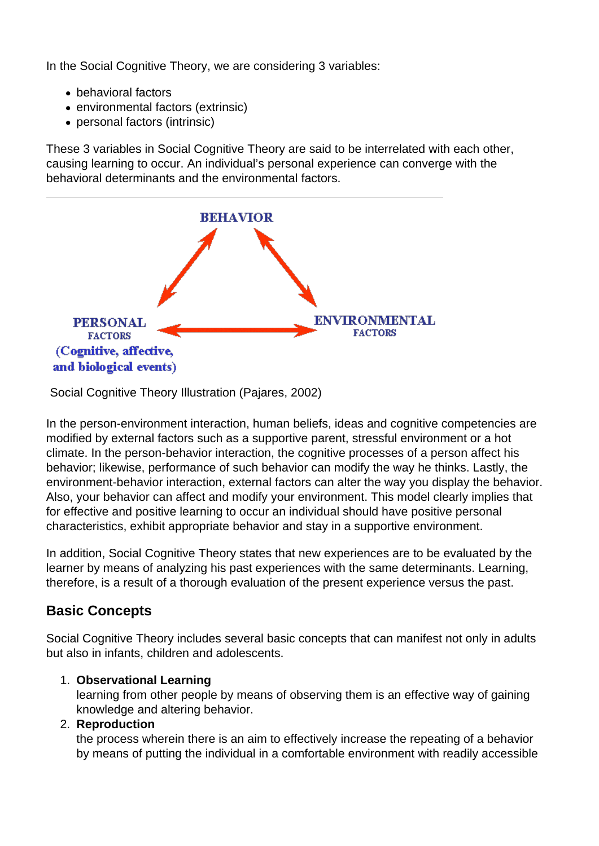In the Social Cognitive Theory, we are considering 3 variables:

- behavioral factors
- environmental factors (extrinsic)
- personal factors (intrinsic)

These 3 variables in Social Cognitive Theory are said to be interrelated with each other, causing learning to occur. An individual's personal experience can converge with the behavioral determinants and the environmental factors.



Social Cognitive Theory Illustration (Pajares, 2002)

In the person-environment interaction, human beliefs, ideas and cognitive competencies are modified by external factors such as a supportive parent, stressful environment or a hot climate. In the person-behavior interaction, the cognitive processes of a person affect his behavior; likewise, performance of such behavior can modify the way he thinks. Lastly, the environment-behavior interaction, external factors can alter the way you display the behavior. Also, your behavior can affect and modify your environment. This model clearly implies that for effective and positive learning to occur an individual should have positive personal characteristics, exhibit appropriate behavior and stay in a supportive environment.

In addition, Social Cognitive Theory states that new experiences are to be evaluated by the learner by means of analyzing his past experiences with the same determinants. Learning, therefore, is a result of a thorough evaluation of the present experience versus the past.

### **Basic Concepts**

Social Cognitive Theory includes several basic concepts that can manifest not only in adults but also in infants, children and adolescents.

#### 1. **Observational Learning**

learning from other people by means of observing them is an effective way of gaining knowledge and altering behavior.

#### 2. **Reproduction**

the process wherein there is an aim to effectively increase the repeating of a behavior by means of putting the individual in a comfortable environment with readily accessible